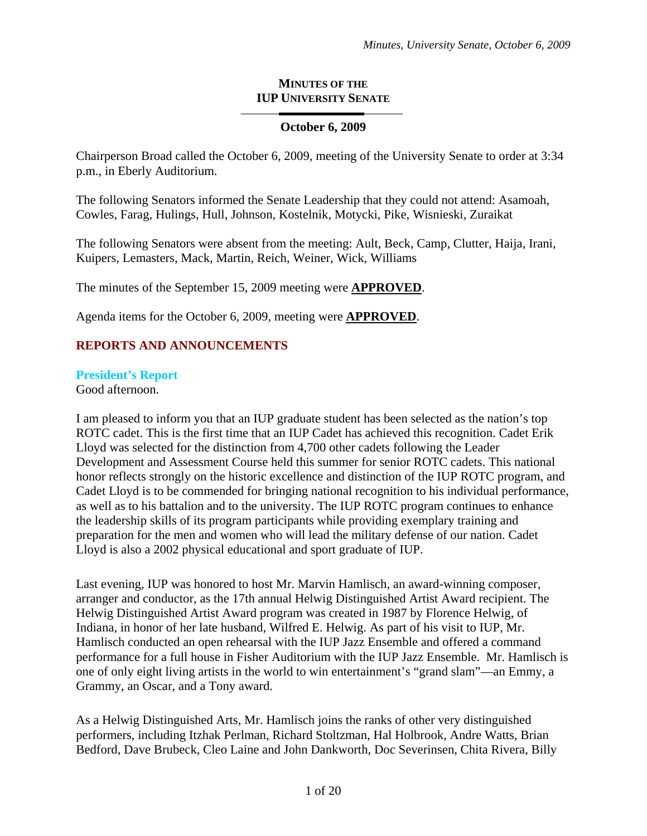#### **MINUTES OF THE IUP UNIVERSITY SENATE**

# **October 6, 2009**

Chairperson Broad called the October 6, 2009, meeting of the University Senate to order at 3:34 p.m., in Eberly Auditorium.

The following Senators informed the Senate Leadership that they could not attend: Asamoah, Cowles, Farag, Hulings, Hull, Johnson, Kostelnik, Motycki, Pike, Wisnieski, Zuraikat

The following Senators were absent from the meeting: Ault, Beck, Camp, Clutter, Haija, Irani, Kuipers, Lemasters, Mack, Martin, Reich, Weiner, Wick, Williams

The minutes of the September 15, 2009 meeting were **APPROVED**.

Agenda items for the October 6, 2009, meeting were **APPROVED**.

# **REPORTS AND ANNOUNCEMENTS**

#### **President's Report**

Good afternoon.

I am pleased to inform you that an IUP graduate student has been selected as the nation's top ROTC cadet. This is the first time that an IUP Cadet has achieved this recognition. Cadet Erik Lloyd was selected for the distinction from 4,700 other cadets following the Leader Development and Assessment Course held this summer for senior ROTC cadets. This national honor reflects strongly on the historic excellence and distinction of the IUP ROTC program, and Cadet Lloyd is to be commended for bringing national recognition to his individual performance, as well as to his battalion and to the university. The IUP ROTC program continues to enhance the leadership skills of its program participants while providing exemplary training and preparation for the men and women who will lead the military defense of our nation. Cadet Lloyd is also a 2002 physical educational and sport graduate of IUP.

Last evening, IUP was honored to host Mr. Marvin Hamlisch, an award-winning composer, arranger and conductor, as the 17th annual Helwig Distinguished Artist Award recipient. The Helwig Distinguished Artist Award program was created in 1987 by Florence Helwig, of Indiana, in honor of her late husband, Wilfred E. Helwig. As part of his visit to IUP, Mr. Hamlisch conducted an open rehearsal with the IUP Jazz Ensemble and offered a command performance for a full house in Fisher Auditorium with the IUP Jazz Ensemble. Mr. Hamlisch is one of only eight living artists in the world to win entertainment's "grand slam"—an Emmy, a Grammy, an Oscar, and a Tony award.

As a Helwig Distinguished Arts, Mr. Hamlisch joins the ranks of other very distinguished performers, including Itzhak Perlman, Richard Stoltzman, Hal Holbrook, Andre Watts, Brian Bedford, Dave Brubeck, Cleo Laine and John Dankworth, Doc Severinsen, Chita Rivera, Billy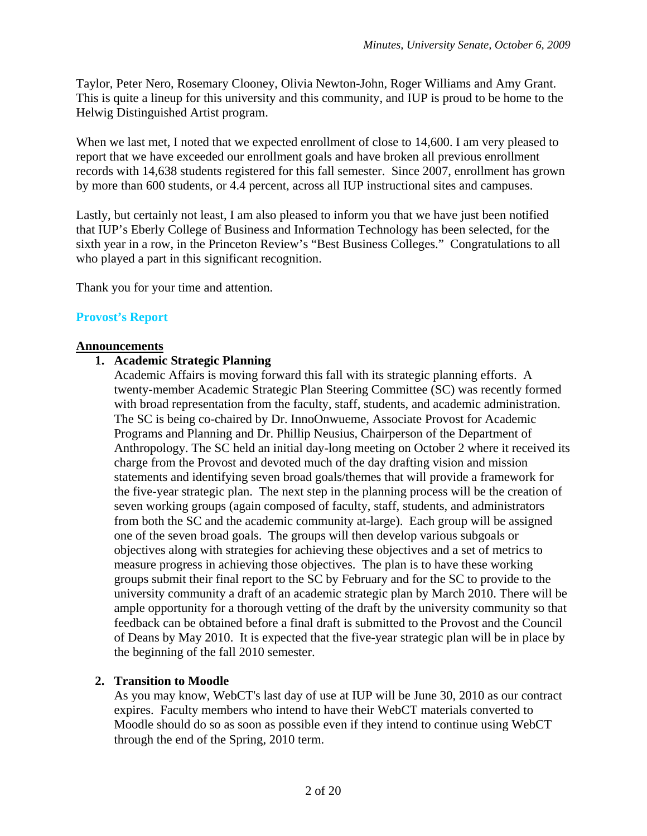Taylor, Peter Nero, Rosemary Clooney, Olivia Newton-John, Roger Williams and Amy Grant. This is quite a lineup for this university and this community, and IUP is proud to be home to the Helwig Distinguished Artist program.

When we last met, I noted that we expected enrollment of close to 14,600. I am very pleased to report that we have exceeded our enrollment goals and have broken all previous enrollment records with 14,638 students registered for this fall semester. Since 2007, enrollment has grown by more than 600 students, or 4.4 percent, across all IUP instructional sites and campuses.

Lastly, but certainly not least, I am also pleased to inform you that we have just been notified that IUP's Eberly College of Business and Information Technology has been selected, for the sixth year in a row, in the Princeton Review's "Best Business Colleges." Congratulations to all who played a part in this significant recognition.

Thank you for your time and attention.

#### **Provost's Report**

#### **Announcements**

#### **1. Academic Strategic Planning**

Academic Affairs is moving forward this fall with its strategic planning efforts. A twenty-member Academic Strategic Plan Steering Committee (SC) was recently formed with broad representation from the faculty, staff, students, and academic administration. The SC is being co-chaired by Dr. InnoOnwueme, Associate Provost for Academic Programs and Planning and Dr. Phillip Neusius, Chairperson of the Department of Anthropology. The SC held an initial day-long meeting on October 2 where it received its charge from the Provost and devoted much of the day drafting vision and mission statements and identifying seven broad goals/themes that will provide a framework for the five-year strategic plan. The next step in the planning process will be the creation of seven working groups (again composed of faculty, staff, students, and administrators from both the SC and the academic community at-large). Each group will be assigned one of the seven broad goals. The groups will then develop various subgoals or objectives along with strategies for achieving these objectives and a set of metrics to measure progress in achieving those objectives. The plan is to have these working groups submit their final report to the SC by February and for the SC to provide to the university community a draft of an academic strategic plan by March 2010. There will be ample opportunity for a thorough vetting of the draft by the university community so that feedback can be obtained before a final draft is submitted to the Provost and the Council of Deans by May 2010. It is expected that the five-year strategic plan will be in place by the beginning of the fall 2010 semester.

#### **2. Transition to Moodle**

As you may know, WebCT's last day of use at IUP will be June 30, 2010 as our contract expires. Faculty members who intend to have their WebCT materials converted to Moodle should do so as soon as possible even if they intend to continue using WebCT through the end of the Spring, 2010 term.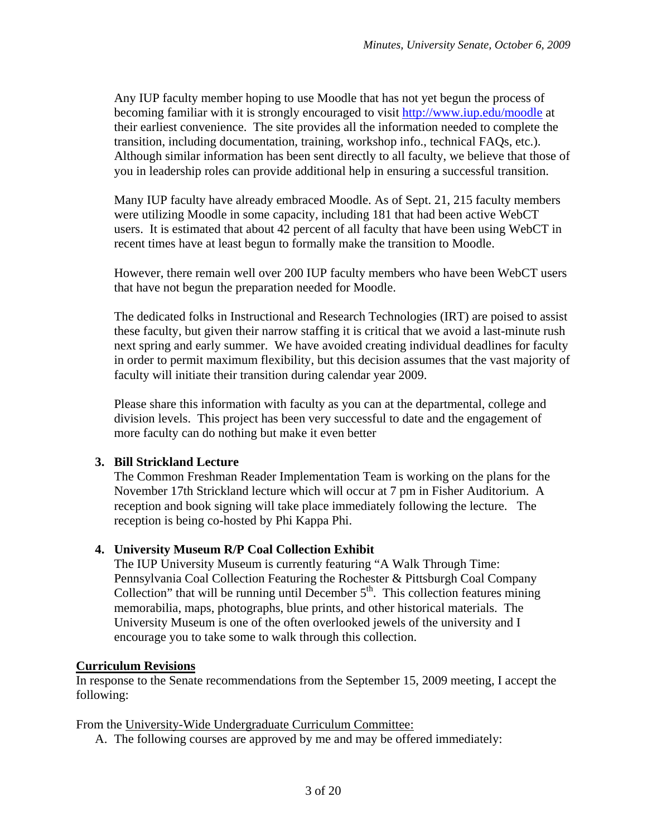Any IUP faculty member hoping to use Moodle that has not yet begun the process of becoming familiar with it is strongly encouraged to visit http://www.iup.edu/moodle at their earliest convenience. The site provides all the information needed to complete the transition, including documentation, training, workshop info., technical FAQs, etc.). Although similar information has been sent directly to all faculty, we believe that those of you in leadership roles can provide additional help in ensuring a successful transition.

Many IUP faculty have already embraced Moodle. As of Sept. 21, 215 faculty members were utilizing Moodle in some capacity, including 181 that had been active WebCT users. It is estimated that about 42 percent of all faculty that have been using WebCT in recent times have at least begun to formally make the transition to Moodle.

However, there remain well over 200 IUP faculty members who have been WebCT users that have not begun the preparation needed for Moodle.

The dedicated folks in Instructional and Research Technologies (IRT) are poised to assist these faculty, but given their narrow staffing it is critical that we avoid a last-minute rush next spring and early summer. We have avoided creating individual deadlines for faculty in order to permit maximum flexibility, but this decision assumes that the vast majority of faculty will initiate their transition during calendar year 2009.

Please share this information with faculty as you can at the departmental, college and division levels. This project has been very successful to date and the engagement of more faculty can do nothing but make it even better

## **3. Bill Strickland Lecture**

The Common Freshman Reader Implementation Team is working on the plans for the November 17th Strickland lecture which will occur at 7 pm in Fisher Auditorium. A reception and book signing will take place immediately following the lecture. The reception is being co-hosted by Phi Kappa Phi.

# **4. University Museum R/P Coal Collection Exhibit**

The IUP University Museum is currently featuring "A Walk Through Time: Pennsylvania Coal Collection Featuring the Rochester & Pittsburgh Coal Company Collection" that will be running until December  $5<sup>th</sup>$ . This collection features mining memorabilia, maps, photographs, blue prints, and other historical materials. The University Museum is one of the often overlooked jewels of the university and I encourage you to take some to walk through this collection.

## **Curriculum Revisions**

In response to the Senate recommendations from the September 15, 2009 meeting, I accept the following:

From the University-Wide Undergraduate Curriculum Committee:

A. The following courses are approved by me and may be offered immediately: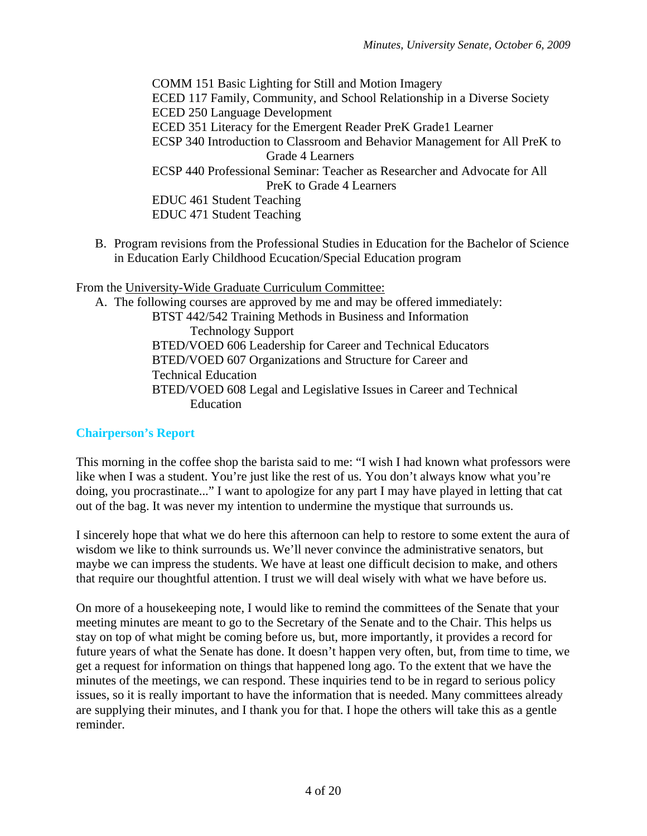COMM 151 Basic Lighting for Still and Motion Imagery ECED 117 Family, Community, and School Relationship in a Diverse Society ECED 250 Language Development ECED 351 Literacy for the Emergent Reader PreK Grade1 Learner ECSP 340 Introduction to Classroom and Behavior Management for All PreK to Grade 4 Learners ECSP 440 Professional Seminar: Teacher as Researcher and Advocate for All PreK to Grade 4 Learners EDUC 461 Student Teaching EDUC 471 Student Teaching

B. Program revisions from the Professional Studies in Education for the Bachelor of Science in Education Early Childhood Ecucation/Special Education program

From the University-Wide Graduate Curriculum Committee:

A. The following courses are approved by me and may be offered immediately: BTST 442/542 Training Methods in Business and Information Technology Support BTED/VOED 606 Leadership for Career and Technical Educators BTED/VOED 607 Organizations and Structure for Career and Technical Education BTED/VOED 608 Legal and Legislative Issues in Career and Technical Education

## **Chairperson's Report**

This morning in the coffee shop the barista said to me: "I wish I had known what professors were like when I was a student. You're just like the rest of us. You don't always know what you're doing, you procrastinate..." I want to apologize for any part I may have played in letting that cat out of the bag. It was never my intention to undermine the mystique that surrounds us.

I sincerely hope that what we do here this afternoon can help to restore to some extent the aura of wisdom we like to think surrounds us. We'll never convince the administrative senators, but maybe we can impress the students. We have at least one difficult decision to make, and others that require our thoughtful attention. I trust we will deal wisely with what we have before us.

On more of a housekeeping note, I would like to remind the committees of the Senate that your meeting minutes are meant to go to the Secretary of the Senate and to the Chair. This helps us stay on top of what might be coming before us, but, more importantly, it provides a record for future years of what the Senate has done. It doesn't happen very often, but, from time to time, we get a request for information on things that happened long ago. To the extent that we have the minutes of the meetings, we can respond. These inquiries tend to be in regard to serious policy issues, so it is really important to have the information that is needed. Many committees already are supplying their minutes, and I thank you for that. I hope the others will take this as a gentle reminder.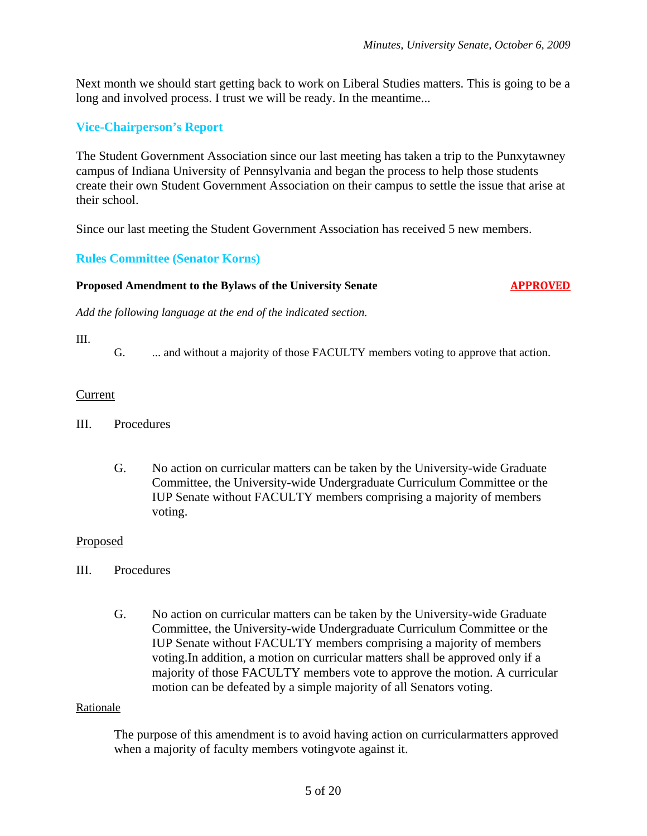Next month we should start getting back to work on Liberal Studies matters. This is going to be a long and involved process. I trust we will be ready. In the meantime...

## **Vice-Chairperson's Report**

The Student Government Association since our last meeting has taken a trip to the Punxytawney campus of Indiana University of Pennsylvania and began the process to help those students create their own Student Government Association on their campus to settle the issue that arise at their school.

Since our last meeting the Student Government Association has received 5 new members.

## **Rules Committee (Senator Korns)**

#### **Proposed Amendment to the Bylaws of the University Senate 6 APPROVED**

*Add the following language at the end of the indicated section.* 

#### III.

G. ... and without a majority of those FACULTY members voting to approve that action.

#### Current

#### III. Procedures

G. No action on curricular matters can be taken by the University-wide Graduate Committee, the University-wide Undergraduate Curriculum Committee or the IUP Senate without FACULTY members comprising a majority of members voting.

#### Proposed

#### III. Procedures

G. No action on curricular matters can be taken by the University-wide Graduate Committee, the University-wide Undergraduate Curriculum Committee or the IUP Senate without FACULTY members comprising a majority of members voting.In addition, a motion on curricular matters shall be approved only if a majority of those FACULTY members vote to approve the motion. A curricular motion can be defeated by a simple majority of all Senators voting.

#### Rationale

The purpose of this amendment is to avoid having action on curricularmatters approved when a majority of faculty members votingvote against it.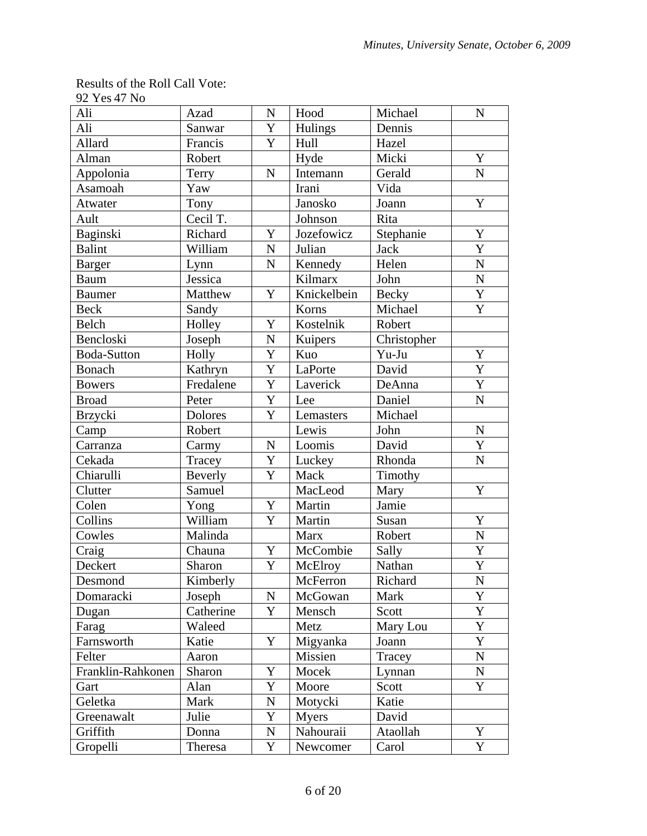#### Results of the Roll Call Vote: 92 Yes 47 No

| Ali                | Azad      | $\mathbf N$ | Hood         | Michael      | $\mathbf N$        |
|--------------------|-----------|-------------|--------------|--------------|--------------------|
| Ali                | Sanwar    | Y           | Hulings      | Dennis       |                    |
| Allard             | Francis   | Y           | Hull         | Hazel        |                    |
| Alman              | Robert    |             | Hyde         | Micki        | $\mathbf Y$        |
| Appolonia          | Terry     | $\mathbf N$ | Intemann     | Gerald       | $\mathbf N$        |
| Asamoah            | Yaw       |             | Irani        | Vida         |                    |
| Atwater            | Tony      |             | Janosko      | Joann        | Y                  |
| Ault               | Cecil T.  |             | Johnson      | Rita         |                    |
| Baginski           | Richard   | Y           | Jozefowicz   | Stephanie    | Y                  |
| <b>Balint</b>      | William   | $\mathbf N$ | Julian       | <b>Jack</b>  | Y                  |
| <b>Barger</b>      | Lynn      | $\mathbf N$ | Kennedy      | Helen        | ${\bf N}$          |
| <b>Baum</b>        | Jessica   |             | Kilmarx      | John         | $\overline{\bf N}$ |
| <b>Baumer</b>      | Matthew   | Y           | Knickelbein  | <b>Becky</b> | $\overline{Y}$     |
| <b>Beck</b>        | Sandy     |             | Korns        | Michael      | Y                  |
| Belch              | Holley    | Y           | Kostelnik    | Robert       |                    |
| Bencloski          | Joseph    | ${\bf N}$   | Kuipers      | Christopher  |                    |
| <b>Boda-Sutton</b> | Holly     | Y           | Kuo          | Yu-Ju        | Y                  |
| <b>Bonach</b>      | Kathryn   | Y           | LaPorte      | David        | $\mathbf Y$        |
| <b>Bowers</b>      | Fredalene | Y           | Laverick     | DeAnna       | Y                  |
| <b>Broad</b>       | Peter     | Y           | Lee          | Daniel       | $\mathbf N$        |
| Brzycki            | Dolores   | Y           | Lemasters    | Michael      |                    |
| Camp               | Robert    |             | Lewis        | John         | $\mathbf N$        |
| Carranza           | Carmy     | $\mathbf N$ | Loomis       | David        | Y                  |
| Cekada             | Tracey    | Y           | Luckey       | Rhonda       | ${\bf N}$          |
| Chiarulli          | Beverly   | Y           | Mack         | Timothy      |                    |
| Clutter            | Samuel    |             | MacLeod      | Mary         | $\mathbf Y$        |
| Colen              | Yong      | Y           | Martin       | Jamie        |                    |
| Collins            | William   | Y           | Martin       | Susan        | Y                  |
| Cowles             | Malinda   |             | <b>Marx</b>  | Robert       | ${\bf N}$          |
| Craig              | Chauna    | Y           | McCombie     | Sally        | $\mathbf Y$        |
| Deckert            | Sharon    | Y           | McElroy      | Nathan       | $\overline{Y}$     |
| Desmond            | Kimberly  |             | McFerron     | Richard      | N                  |
| Domaracki          | Joseph    | $\mathbf N$ | McGowan      | Mark         | Y                  |
| Dugan              | Catherine | Y           | Mensch       | Scott        | Y                  |
| Farag              | Waleed    |             | Metz         | Mary Lou     | Y                  |
| Farnsworth         | Katie     | Y           | Migyanka     | Joann        | Y                  |
| Felter             | Aaron     |             | Missien      | Tracey       | ${\bf N}$          |
| Franklin-Rahkonen  | Sharon    | Y           | Mocek        | Lynnan       | ${\bf N}$          |
| Gart               | Alan      | Y           | Moore        | Scott        | Y                  |
| Geletka            | Mark      | N           | Motycki      | Katie        |                    |
| Greenawalt         | Julie     | Y           | <b>Myers</b> | David        |                    |
| Griffith           | Donna     | N           | Nahouraii    | Ataollah     | Y                  |
| Gropelli           | Theresa   | Y           | Newcomer     | Carol        | $\mathbf Y$        |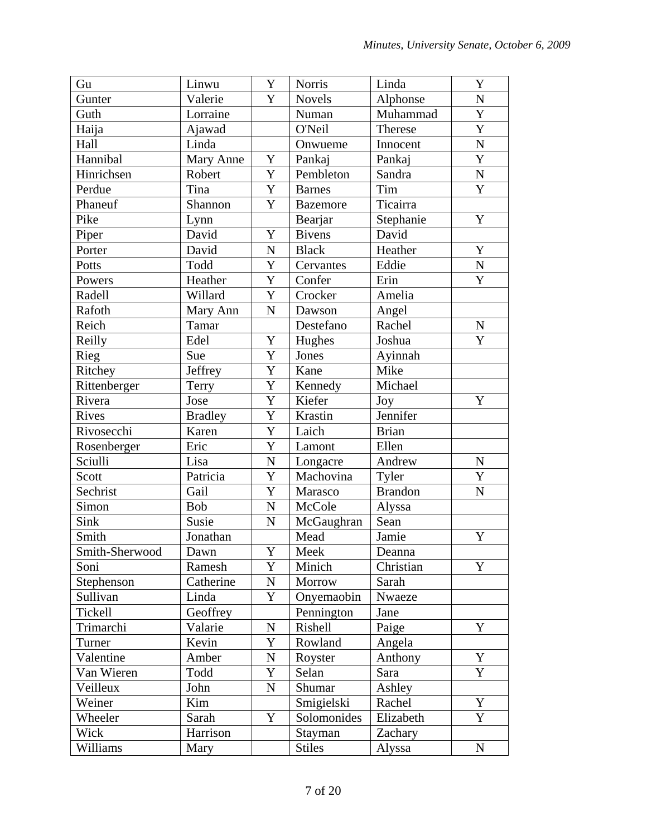| Gu             | Linwu          | Y           | <b>Norris</b>   | Linda          | Y                  |
|----------------|----------------|-------------|-----------------|----------------|--------------------|
| Gunter         | Valerie        | Y           | <b>Novels</b>   | Alphonse       | ${\bf N}$          |
| Guth           | Lorraine       |             | Numan           | Muhammad       | $\overline{Y}$     |
| Haija          | Ajawad         |             | O'Neil          | Therese        | $\overline{Y}$     |
| Hall           | Linda          |             | Onwueme         | Innocent       | ${\bf N}$          |
| Hannibal       | Mary Anne      | Y           | Pankaj          | Pankaj         | $\mathbf Y$        |
| Hinrichsen     | Robert         | Y           | Pembleton       | Sandra         | $\overline{\bf N}$ |
| Perdue         | Tina           | Y           | <b>Barnes</b>   | Tim            | Y                  |
| Phaneuf        | Shannon        | Y           | <b>Bazemore</b> | Ticairra       |                    |
| Pike           | Lynn           |             | Bearjar         | Stephanie      | Y                  |
| Piper          | David          | Y           | <b>Bivens</b>   | David          |                    |
| Porter         | David          | ${\bf N}$   | <b>Black</b>    | Heather        | Y                  |
| Potts          | Todd           | Y           | Cervantes       | Eddie          | $\mathbf N$        |
| Powers         | Heather        | Y           | Confer          | Erin           | Y                  |
| Radell         | Willard        | Y           | Crocker         | Amelia         |                    |
| Rafoth         | Mary Ann       | $\mathbf N$ | Dawson          | Angel          |                    |
| Reich          | Tamar          |             | Destefano       | Rachel         | ${\bf N}$          |
| Reilly         | Edel           | $\mathbf Y$ | Hughes          | Joshua         | Y                  |
| Rieg           | Sue            | Y           | Jones           | Ayinnah        |                    |
| Ritchey        | Jeffrey        | Y           | Kane            | Mike           |                    |
| Rittenberger   | Terry          | Y           | Kennedy         | Michael        |                    |
| Rivera         | Jose           | Y           | Kiefer          | Joy            | Y                  |
| Rives          | <b>Bradley</b> | Y           | Krastin         | Jennifer       |                    |
| Rivosecchi     | Karen          | Y           | Laich           | <b>Brian</b>   |                    |
| Rosenberger    | Eric           | Y           | Lamont          | Ellen          |                    |
| Sciulli        | Lisa           | N           | Longacre        | Andrew         | N                  |
| Scott          | Patricia       | Y           | Machovina       | Tyler          | Y                  |
| Sechrist       | Gail           | Y           | Marasco         | <b>Brandon</b> | ${\bf N}$          |
| Simon          | <b>Bob</b>     | ${\bf N}$   | McCole          | Alyssa         |                    |
| Sink           | Susie          | $\mathbf N$ | McGaughran      | Sean           |                    |
| Smith          | Jonathan       |             | Mead            | Jamie          | $\mathbf Y$        |
| Smith-Sherwood | Dawn           | Y           | Meek            | Deanna         |                    |
| Soni           | Ramesh         | Y           | Minich          | Christian      | Y                  |
| Stephenson     | Catherine      | N           | Morrow          | Sarah          |                    |
| Sullivan       | Linda          | Y           | Onyemaobin      | Nwaeze         |                    |
| Tickell        | Geoffrey       |             | Pennington      | Jane           |                    |
| Trimarchi      | Valarie        | N           | Rishell         | Paige          | Y                  |
| Turner         | Kevin          | Y           | Rowland         | Angela         |                    |
| Valentine      | Amber          | N           | Royster         | Anthony        | Y                  |
| Van Wieren     | Todd           | Y           | Selan           | Sara           | Y                  |
| Veilleux       | John           | $\mathbf N$ | Shumar          | Ashley         |                    |
| Weiner         | Kim            |             | Smigielski      | Rachel         | Y                  |
| Wheeler        | Sarah          | Y           | Solomonides     | Elizabeth      | Y                  |
| Wick           | Harrison       |             | Stayman         | Zachary        |                    |
| Williams       | Mary           |             | <b>Stiles</b>   | Alyssa         | N                  |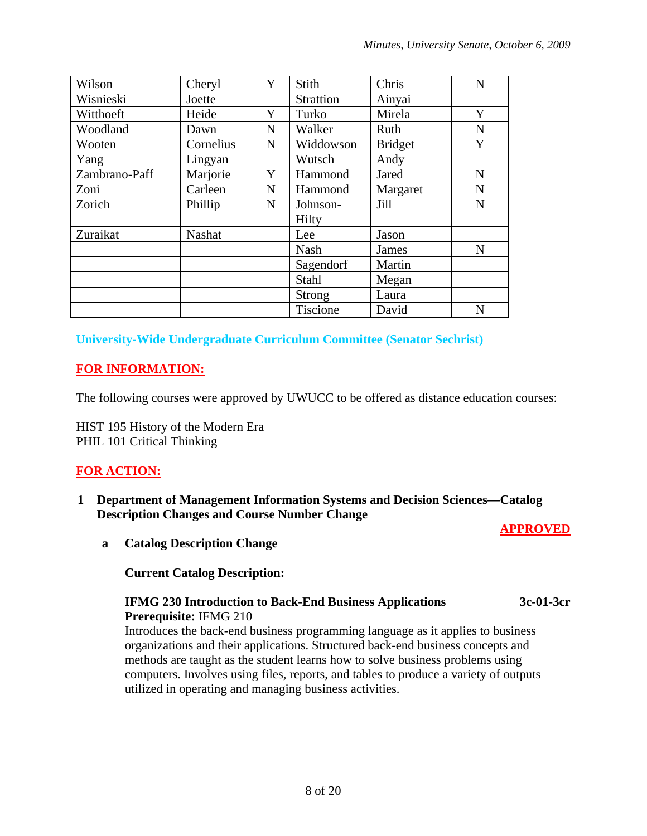| Wilson        | Cheryl    | Y           | <b>Stith</b>     | Chris          | $\mathbf N$ |
|---------------|-----------|-------------|------------------|----------------|-------------|
| Wisnieski     | Joette    |             | <b>Strattion</b> | Ainyai         |             |
| Witthoeft     | Heide     | Y           | Turko            | Mirela         | Y           |
| Woodland      | Dawn      | $\mathbf N$ | Walker           | Ruth           | N           |
| Wooten        | Cornelius | $\mathbf N$ | Widdowson        | <b>Bridget</b> | Y           |
| Yang          | Lingyan   |             | Wutsch           | Andy           |             |
| Zambrano-Paff | Marjorie  | Y           | Hammond          | Jared          | N           |
| Zoni          | Carleen   | $\mathbf N$ | Hammond          | Margaret       | $\mathbf N$ |
| Zorich        | Phillip   | $\mathbf N$ | Johnson-         | Jill           | N           |
|               |           |             | Hilty            |                |             |
| Zuraikat      | Nashat    |             | Lee              | Jason          |             |
|               |           |             | <b>Nash</b>      | <b>James</b>   | N           |
|               |           |             | Sagendorf        | Martin         |             |
|               |           |             | Stahl            | Megan          |             |
|               |           |             | <b>Strong</b>    | Laura          |             |
|               |           |             | Tiscione         | David          | N           |

**University-Wide Undergraduate Curriculum Committee (Senator Sechrist)** 

# **FOR INFORMATION:**

The following courses were approved by UWUCC to be offered as distance education courses:

HIST 195 History of the Modern Era PHIL 101 Critical Thinking

# **FOR ACTION:**

**1 Department of Management Information Systems and Decision Sciences—Catalog Description Changes and Course Number Change** 

## **APPROVED**

**a Catalog Description Change**

## **Current Catalog Description:**

#### **IFMG 230 Introduction to Back-End Business Applications 3c-01-3cr Prerequisite:** IFMG 210

Introduces the back-end business programming language as it applies to business organizations and their applications. Structured back-end business concepts and methods are taught as the student learns how to solve business problems using computers. Involves using files, reports, and tables to produce a variety of outputs utilized in operating and managing business activities.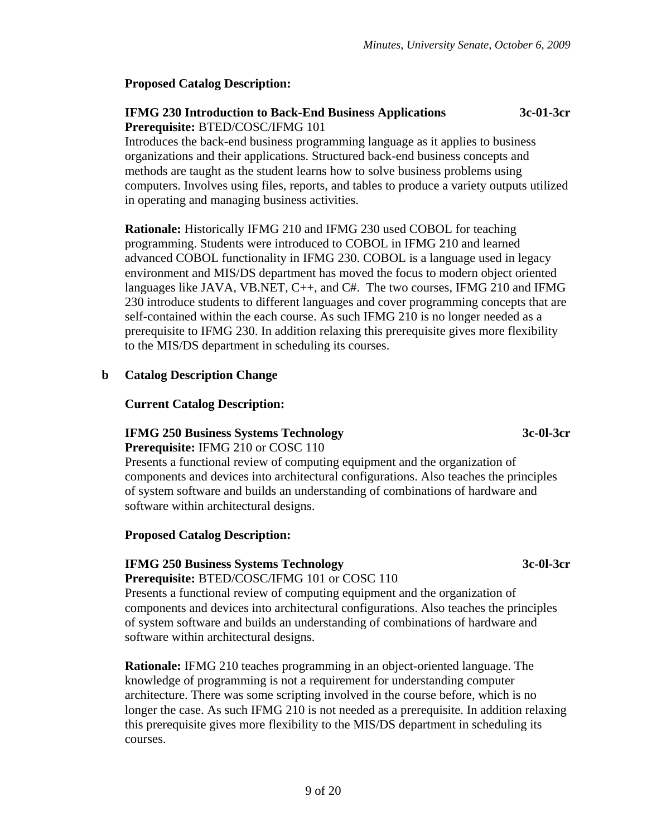# **Proposed Catalog Description:**

## **IFMG 230 Introduction to Back-End Business Applications 3c-01-3cr Prerequisite:** BTED/COSC/IFMG 101

Introduces the back-end business programming language as it applies to business organizations and their applications. Structured back-end business concepts and methods are taught as the student learns how to solve business problems using computers. Involves using files, reports, and tables to produce a variety outputs utilized in operating and managing business activities.

**Rationale:** Historically IFMG 210 and IFMG 230 used COBOL for teaching programming. Students were introduced to COBOL in IFMG 210 and learned advanced COBOL functionality in IFMG 230. COBOL is a language used in legacy environment and MIS/DS department has moved the focus to modern object oriented languages like JAVA, VB.NET, C++, and C#. The two courses, IFMG 210 and IFMG 230 introduce students to different languages and cover programming concepts that are self-contained within the each course. As such IFMG 210 is no longer needed as a prerequisite to IFMG 230. In addition relaxing this prerequisite gives more flexibility to the MIS/DS department in scheduling its courses.

# **b Catalog Description Change**

## **Current Catalog Description:**

# **IFMG 250 Business Systems Technology 3c-0l-3cr**

**Prerequisite:** IFMG 210 or COSC 110

Presents a functional review of computing equipment and the organization of components and devices into architectural configurations. Also teaches the principles of system software and builds an understanding of combinations of hardware and software within architectural designs.

## **Proposed Catalog Description:**

# **IFMG 250 Business Systems Technology 3c-0l-3cr**

**Prerequisite:** BTED/COSC/IFMG 101 or COSC 110

Presents a functional review of computing equipment and the organization of components and devices into architectural configurations. Also teaches the principles of system software and builds an understanding of combinations of hardware and software within architectural designs.

**Rationale:** IFMG 210 teaches programming in an object-oriented language. The knowledge of programming is not a requirement for understanding computer architecture. There was some scripting involved in the course before, which is no longer the case. As such IFMG 210 is not needed as a prerequisite. In addition relaxing this prerequisite gives more flexibility to the MIS/DS department in scheduling its courses.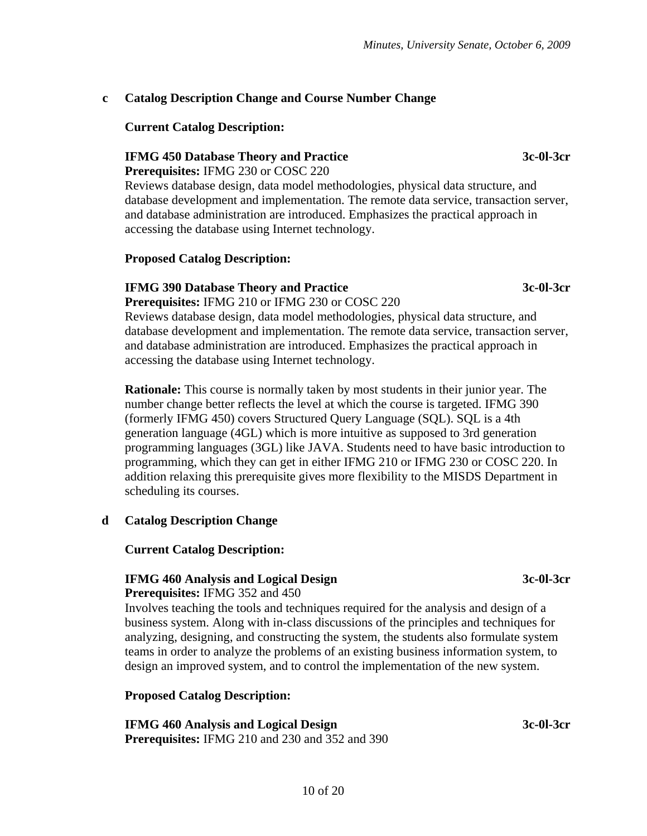# **c Catalog Description Change and Course Number Change**

## **Current Catalog Description:**

# **IFMG 450 Database Theory and Practice 3c-0l-3cr**

## **Prerequisites:** IFMG 230 or COSC 220

Reviews database design, data model methodologies, physical data structure, and database development and implementation. The remote data service, transaction server, and database administration are introduced. Emphasizes the practical approach in accessing the database using Internet technology.

# **Proposed Catalog Description:**

# **IFMG 390 Database Theory and Practice 3c-0l-3cr**

**Prerequisites:** IFMG 210 or IFMG 230 or COSC 220 Reviews database design, data model methodologies, physical data structure, and database development and implementation. The remote data service, transaction server, and database administration are introduced. Emphasizes the practical approach in accessing the database using Internet technology.

**Rationale:** This course is normally taken by most students in their junior year. The number change better reflects the level at which the course is targeted. IFMG 390 (formerly IFMG 450) covers Structured Query Language (SQL). SQL is a 4th generation language (4GL) which is more intuitive as supposed to 3rd generation programming languages (3GL) like JAVA. Students need to have basic introduction to programming, which they can get in either IFMG 210 or IFMG 230 or COSC 220. In addition relaxing this prerequisite gives more flexibility to the MISDS Department in scheduling its courses.

# **d Catalog Description Change**

## **Current Catalog Description:**

# **IFMG 460 Analysis and Logical Design 3c-0l-3cr**

#### **Prerequisites:** IFMG 352 and 450

Involves teaching the tools and techniques required for the analysis and design of a business system. Along with in-class discussions of the principles and techniques for analyzing, designing, and constructing the system, the students also formulate system teams in order to analyze the problems of an existing business information system, to design an improved system, and to control the implementation of the new system.

# **Proposed Catalog Description:**

**IFMG 460 Analysis and Logical Design 3c-0l-3cr Prerequisites:** IFMG 210 and 230 and 352 and 390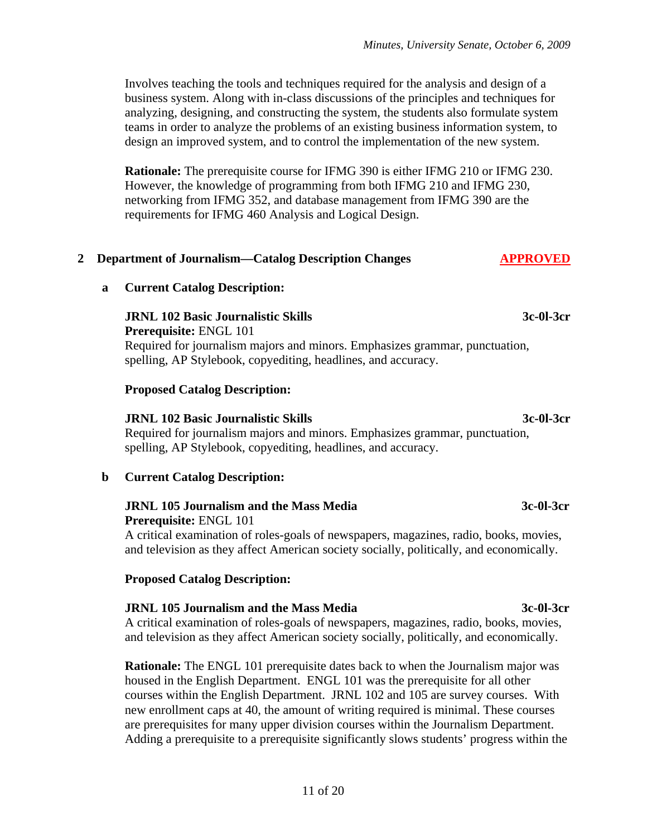Involves teaching the tools and techniques required for the analysis and design of a business system. Along with in-class discussions of the principles and techniques for analyzing, designing, and constructing the system, the students also formulate system teams in order to analyze the problems of an existing business information system, to design an improved system, and to control the implementation of the new system.

**Rationale:** The prerequisite course for IFMG 390 is either IFMG 210 or IFMG 230. However, the knowledge of programming from both IFMG 210 and IFMG 230, networking from IFMG 352, and database management from IFMG 390 are the requirements for IFMG 460 Analysis and Logical Design.

#### 2 **Department of Journalism—Catalog Description Changes APPROVED**

#### **a Current Catalog Description:**

#### **JRNL 102 Basic Journalistic Skills 3c-0l-3cr**

**Prerequisite:** ENGL 101 Required for journalism majors and minors. Emphasizes grammar, punctuation, spelling, AP Stylebook, copyediting, headlines, and accuracy.

#### **Proposed Catalog Description:**

#### **JRNL 102 Basic Journalistic Skills 3c-0l-3cr**

Required for journalism majors and minors. Emphasizes grammar, punctuation, spelling, AP Stylebook, copyediting, headlines, and accuracy.

#### **b Current Catalog Description:**

#### **JRNL 105 Journalism and the Mass Media 3c-0l-3cr Prerequisite:** ENGL 101

A critical examination of roles-goals of newspapers, magazines, radio, books, movies, and television as they affect American society socially, politically, and economically.

#### **Proposed Catalog Description:**

#### **JRNL 105 Journalism and the Mass Media 3c-0l-3cr**

A critical examination of roles-goals of newspapers, magazines, radio, books, movies, and television as they affect American society socially, politically, and economically.

**Rationale:** The ENGL 101 prerequisite dates back to when the Journalism major was housed in the English Department. ENGL 101 was the prerequisite for all other courses within the English Department. JRNL 102 and 105 are survey courses. With new enrollment caps at 40, the amount of writing required is minimal. These courses are prerequisites for many upper division courses within the Journalism Department. Adding a prerequisite to a prerequisite significantly slows students' progress within the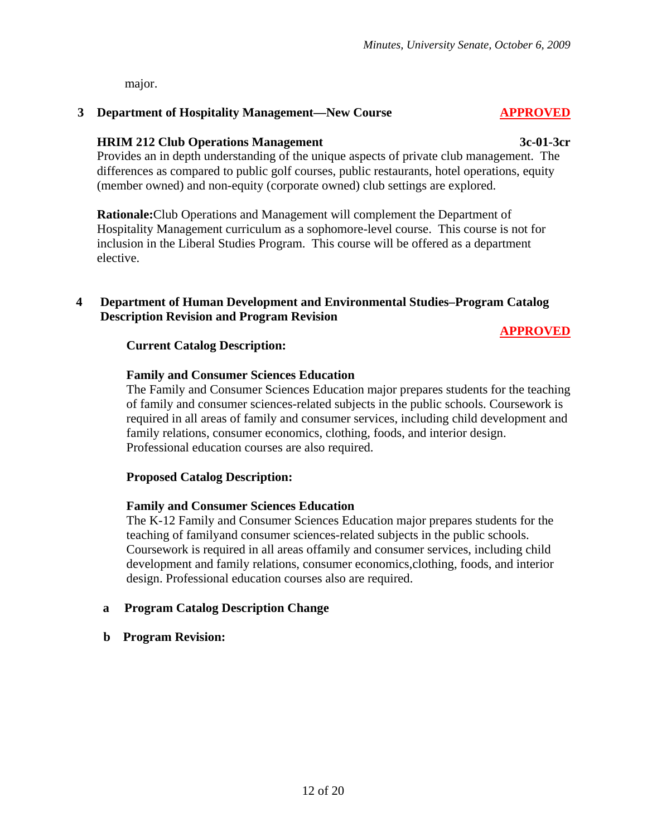major.

#### **3 Department of Hospitality Management—New Course APPROVED**

#### **HRIM 212 Club Operations Management 3c-01-3cr**

Provides an in depth understanding of the unique aspects of private club management. The differences as compared to public golf courses, public restaurants, hotel operations, equity (member owned) and non-equity (corporate owned) club settings are explored.

**Rationale:**Club Operations and Management will complement the Department of Hospitality Management curriculum as a sophomore-level course. This course is not for inclusion in the Liberal Studies Program. This course will be offered as a department elective.

#### **4 Department of Human Development and Environmental Studies–Program Catalog Description Revision and Program Revision**

# **APPROVED**

#### **Current Catalog Description:**

#### **Family and Consumer Sciences Education**

The Family and Consumer Sciences Education major prepares students for the teaching of family and consumer sciences-related subjects in the public schools. Coursework is required in all areas of family and consumer services, including child development and family relations, consumer economics, clothing, foods, and interior design. Professional education courses are also required.

#### **Proposed Catalog Description:**

#### **Family and Consumer Sciences Education**

The K-12 Family and Consumer Sciences Education major prepares students for the teaching of familyand consumer sciences-related subjects in the public schools. Coursework is required in all areas offamily and consumer services, including child development and family relations, consumer economics,clothing, foods, and interior design. Professional education courses also are required.

#### **a Program Catalog Description Change**

 **b Program Revision:**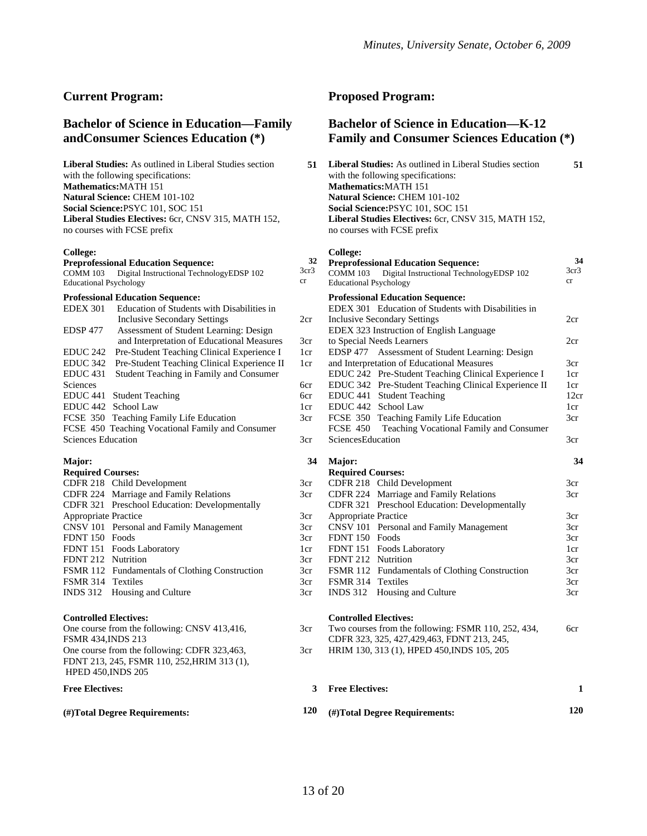#### **Current Program:**

#### **Bachelor of Science in Education—Family andConsumer Sciences Education (\*)**

**Liberal Studies:** As outlined in Liberal Studies section with the following specifications: **Mathematics:**MATH 151 **Natural Science:** CHEM 101-102 **Social Science:**PSYC 101, SOC 151 **Liberal Studies Electives:** 6cr, CNSV 315, MATH 152, no courses with FCSE prefix

#### **College:**

#### **Preprofessional Education Sequence:**  COMM 103 Digital Instructional TechnologyEDSP 102 Educational Psychology **Professional Education Sequence:**  EDEX 301 Education of Students with Disabilities in Inclusive Secondary Settings EDSP 477 Assessment of Student Learning: Design and Interpretation of Educational Measures EDUC 242 Pre-Student Teaching Clinical Experience I EDUC 342 Pre-Student Teaching Clinical Experience II EDUC 431 Student Teaching in Family and Consumer Sciences EDUC 441 Student Teaching EDUC 442 School Law FCSE 350 Teaching Family Life Education FCSE 450 Teaching Vocational Family and Consumer Sciences Education **Major: Required Courses:**  CDFR 218 Child Development CDFR 224 Marriage and Family Relations CDFR 321 Preschool Education: Developmentally Appropriate Practice CNSV 101 Personal and Family Management FDNT 150 Foods FDNT 151 Foods Laboratory

FDNT 212 Nutrition FSMR 112 Fundamentals of Clothing Construction FSMR 314 Textiles INDS 312 Housing and Culture

#### **Controlled Electives:**

One course from the following: CNSV 413,416, FSMR 434,INDS 213 One course from the following: CDFR 323,463, FDNT 213, 245, FSMR 110, 252,HRIM 313 (1), HPED 450,INDS 205

#### **Free Electives:**

#### **(#)Total Degree Requirements:**

#### **Proposed Program:**

#### **Bachelor of Science in Education—K-12 Family and Consumer Sciences Education (\*)**

| 51 | <b>Liberal Studies:</b> As outlined in Liberal Studies section                     |  |
|----|------------------------------------------------------------------------------------|--|
|    | with the following specifications:                                                 |  |
|    | <b>Mathematics: MATH 151</b>                                                       |  |
|    | <b>Natural Science: CHEM 101-102</b>                                               |  |
|    | Social Science: PSYC 101, SOC 151                                                  |  |
|    | Liberal Studies Electives: 6cr, CNSV 315, MATH 152,<br>no courses with FCSE prefix |  |
|    |                                                                                    |  |

#### **College:**

| 32              |                               | <b>Preprofessional Education Sequence:</b>           | 34              |
|-----------------|-------------------------------|------------------------------------------------------|-----------------|
| 3cr3            | <b>COMM 103</b>               | Digital Instructional TechnologyEDSP 102             | 3cr3            |
| cr              | <b>Educational Psychology</b> |                                                      | cr              |
|                 |                               | <b>Professional Education Sequence:</b>              |                 |
|                 |                               | EDEX 301 Education of Students with Disabilities in  |                 |
| 2cr             |                               | <b>Inclusive Secondary Settings</b>                  | 2cr             |
|                 |                               | EDEX 323 Instruction of English Language             |                 |
| 3cr             |                               | to Special Needs Learners                            | 2cr             |
| 1 <sub>cr</sub> | <b>EDSP 477</b>               | Assessment of Student Learning: Design               |                 |
| 1cr             |                               | and Interpretation of Educational Measures           | 3 <sub>cr</sub> |
|                 |                               | EDUC 242 Pre-Student Teaching Clinical Experience I  | 1 <sub>cr</sub> |
| 6cr             |                               | EDUC 342 Pre-Student Teaching Clinical Experience II | 1cr             |
| 6cr             |                               | EDUC 441 Student Teaching                            | 12cr            |
| 1cr             | EDUC 442                      | School Law                                           | 1cr             |
| 3cr             |                               | FCSE 350 Teaching Family Life Education              | 3cr             |
|                 | <b>FCSE 450</b>               | Teaching Vocational Family and Consumer              |                 |
| 3cr             | SciencesEducation             |                                                      | 3cr             |
| 34              | Major:                        |                                                      | 34              |
|                 | <b>Required Courses:</b>      |                                                      |                 |
| 3cr             |                               | CDFR 218 Child Development                           | 3cr             |
| 3cr             |                               | CDFR 224 Marriage and Family Relations               | 3 <sub>cr</sub> |
|                 | <b>CDFR 321</b>               | Preschool Education: Developmentally                 |                 |
| 3cr             | <b>Appropriate Practice</b>   |                                                      | 3cr             |
| 3cr             | <b>CNSV 101</b>               | Personal and Family Management                       | 3cr             |
| 3cr             | <b>FDNT 150</b>               | Foods                                                | 3 <sub>cr</sub> |
| 1cr             |                               | FDNT 151 Foods Laboratory                            | 1cr             |
| 3cr             | <b>FDNT 212</b>               | Nutrition                                            | 3cr             |
| 3cr             |                               | FSMR 112 Fundamentals of Clothing Construction       | 3cr             |
| 3cr             | <b>FSMR 314 Textiles</b>      |                                                      | 3cr             |
| 3cr             | <b>INDS</b> 312               | Housing and Culture                                  | 3cr             |
|                 |                               |                                                      |                 |

#### **Controlled Electives:**

| 3cr | Two courses from the following: FSMR 110, 252, 434, | 6cr |
|-----|-----------------------------------------------------|-----|
|     | CDFR 323, 325, 427, 429, 463, FDNT 213, 245,        |     |
| 3cr | HRIM 130, 313 (1), HPED 450, INDS 105, 205          |     |

|     | <b>Free Electives:</b>        |     |
|-----|-------------------------------|-----|
| 120 | (#)Total Degree Requirements: | 120 |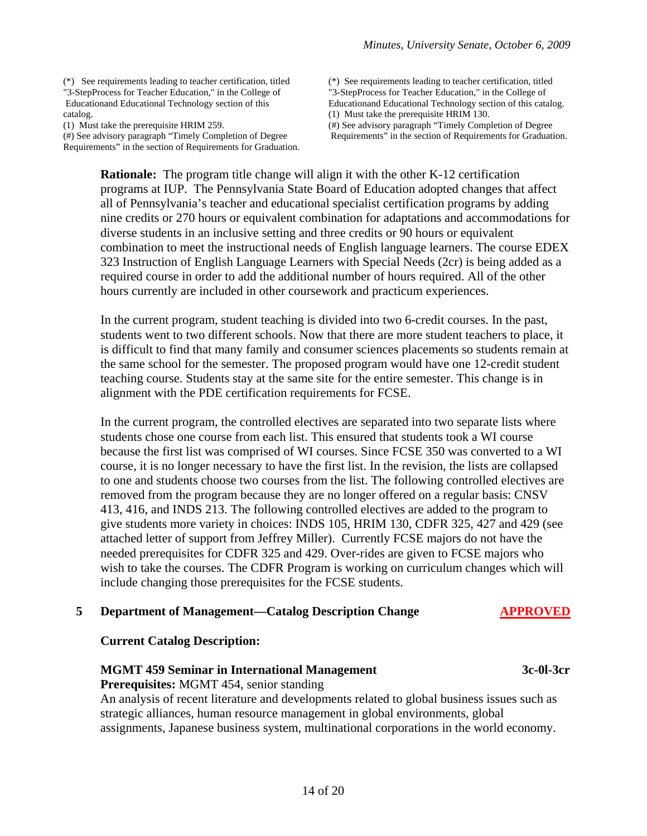(\*) See requirements leading to teacher certification, titled "3-StepProcess for Teacher Education," in the College of Educationand Educational Technology section of this catalog.

(1) Must take the prerequisite HRIM 259.

(#) See advisory paragraph "Timely Completion of Degree Requirements" in the section of Requirements for Graduation. (\*) See requirements leading to teacher certification, titled "3-StepProcess for Teacher Education," in the College of Educationand Educational Technology section of this catalog. (1) Must take the prerequisite HRIM 130. (#) See advisory paragraph "Timely Completion of Degree Requirements" in the section of Requirements for Graduation.

**Rationale:** The program title change will align it with the other K-12 certification programs at IUP. The Pennsylvania State Board of Education adopted changes that affect all of Pennsylvania's teacher and educational specialist certification programs by adding nine credits or 270 hours or equivalent combination for adaptations and accommodations for diverse students in an inclusive setting and three credits or 90 hours or equivalent combination to meet the instructional needs of English language learners. The course EDEX 323 Instruction of English Language Learners with Special Needs (2cr) is being added as a required course in order to add the additional number of hours required. All of the other hours currently are included in other coursework and practicum experiences.

In the current program, student teaching is divided into two 6-credit courses. In the past, students went to two different schools. Now that there are more student teachers to place, it is difficult to find that many family and consumer sciences placements so students remain at the same school for the semester. The proposed program would have one 12-credit student teaching course. Students stay at the same site for the entire semester. This change is in alignment with the PDE certification requirements for FCSE.

In the current program, the controlled electives are separated into two separate lists where students chose one course from each list. This ensured that students took a WI course because the first list was comprised of WI courses. Since FCSE 350 was converted to a WI course, it is no longer necessary to have the first list. In the revision, the lists are collapsed to one and students choose two courses from the list. The following controlled electives are removed from the program because they are no longer offered on a regular basis: CNSV 413, 416, and INDS 213. The following controlled electives are added to the program to give students more variety in choices: INDS 105, HRIM 130, CDFR 325, 427 and 429 (see attached letter of support from Jeffrey Miller). Currently FCSE majors do not have the needed prerequisites for CDFR 325 and 429. Over-rides are given to FCSE majors who wish to take the courses. The CDFR Program is working on curriculum changes which will include changing those prerequisites for the FCSE students.

#### **5** Department of Management—Catalog Description Change APPROVED

#### **Current Catalog Description:**

#### **MGMT 459 Seminar in International Management 3c-0l-3cr**

**Prerequisites:** MGMT 454, senior standing

An analysis of recent literature and developments related to global business issues such as strategic alliances, human resource management in global environments, global assignments, Japanese business system, multinational corporations in the world economy.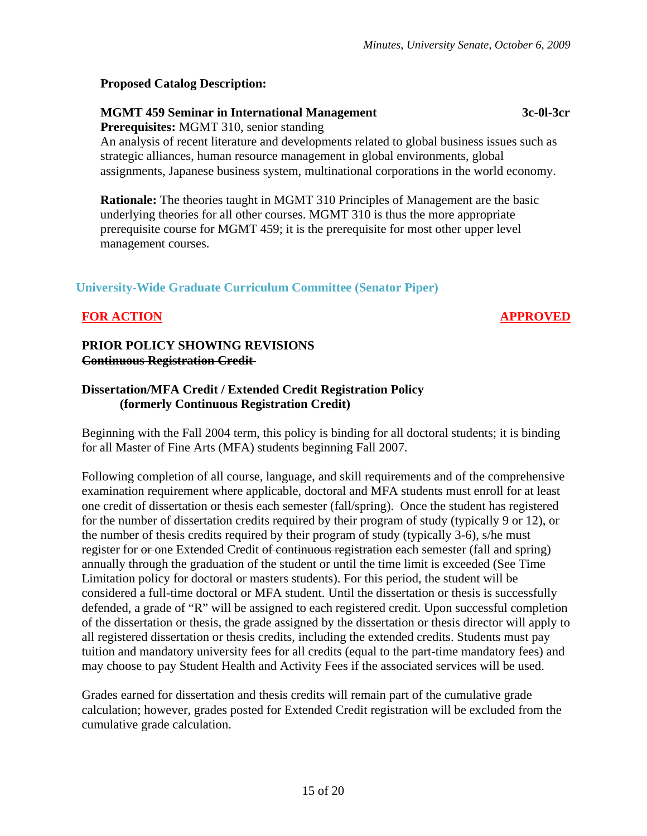#### **Proposed Catalog Description:**

## **MGMT 459 Seminar in International Management 3c-0l-3cr**

**Prerequisites:** MGMT 310, senior standing

An analysis of recent literature and developments related to global business issues such as strategic alliances, human resource management in global environments, global assignments, Japanese business system, multinational corporations in the world economy.

**Rationale:** The theories taught in MGMT 310 Principles of Management are the basic underlying theories for all other courses. MGMT 310 is thus the more appropriate prerequisite course for MGMT 459; it is the prerequisite for most other upper level management courses.

# **University-Wide Graduate Curriculum Committee (Senator Piper)**

# **FOR ACTION APPROVED**

#### **PRIOR POLICY SHOWING REVISIONS Continuous Registration Credit**

## **Dissertation/MFA Credit / Extended Credit Registration Policy (formerly Continuous Registration Credit)**

Beginning with the Fall 2004 term, this policy is binding for all doctoral students; it is binding for all Master of Fine Arts (MFA) students beginning Fall 2007.

Following completion of all course, language, and skill requirements and of the comprehensive examination requirement where applicable, doctoral and MFA students must enroll for at least one credit of dissertation or thesis each semester (fall/spring). Once the student has registered for the number of dissertation credits required by their program of study (typically 9 or 12), or the number of thesis credits required by their program of study (typically 3-6), s/he must register for  $\theta$ -one Extended Credit  $\theta$ -continuous registration each semester (fall and spring) annually through the graduation of the student or until the time limit is exceeded (See Time Limitation policy for doctoral or masters students). For this period, the student will be considered a full-time doctoral or MFA student. Until the dissertation or thesis is successfully defended, a grade of "R" will be assigned to each registered credit. Upon successful completion of the dissertation or thesis, the grade assigned by the dissertation or thesis director will apply to all registered dissertation or thesis credits, including the extended credits. Students must pay tuition and mandatory university fees for all credits (equal to the part-time mandatory fees) and may choose to pay Student Health and Activity Fees if the associated services will be used.

Grades earned for dissertation and thesis credits will remain part of the cumulative grade calculation; however, grades posted for Extended Credit registration will be excluded from the cumulative grade calculation.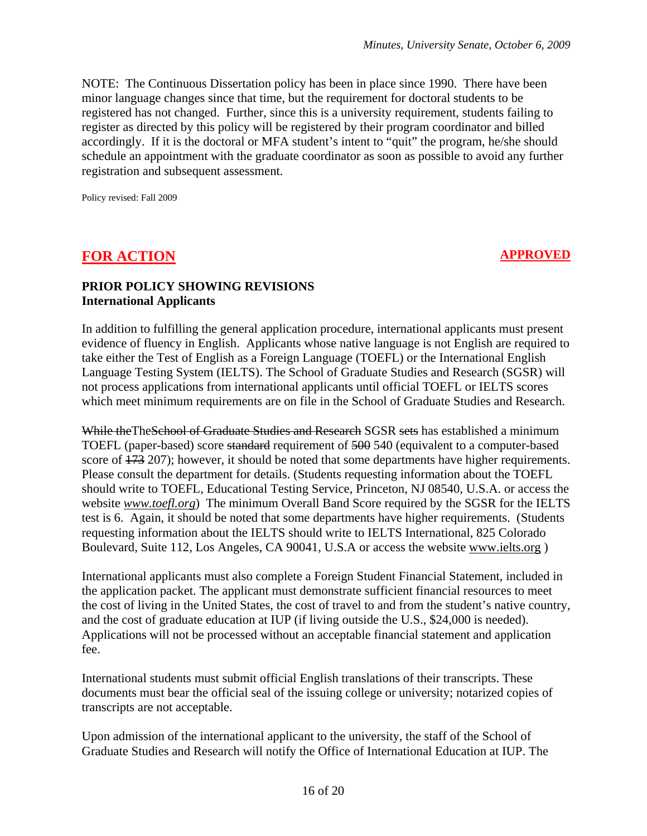NOTE: The Continuous Dissertation policy has been in place since 1990. There have been minor language changes since that time, but the requirement for doctoral students to be registered has not changed. Further, since this is a university requirement, students failing to register as directed by this policy will be registered by their program coordinator and billed accordingly. If it is the doctoral or MFA student's intent to "quit" the program, he/she should schedule an appointment with the graduate coordinator as soon as possible to avoid any further registration and subsequent assessment.

Policy revised: Fall 2009

# **FOR ACTION APPROVED**

#### **PRIOR POLICY SHOWING REVISIONS International Applicants**

In addition to fulfilling the general application procedure, international applicants must present evidence of fluency in English. Applicants whose native language is not English are required to take either the Test of English as a Foreign Language (TOEFL) or the International English Language Testing System (IELTS). The School of Graduate Studies and Research (SGSR) will not process applications from international applicants until official TOEFL or IELTS scores which meet minimum requirements are on file in the School of Graduate Studies and Research.

While the The School of Graduate Studies and Research SGSR sets has established a minimum TOEFL (paper-based) score standard requirement of 500 540 (equivalent to a computer-based score of  $173$  207); however, it should be noted that some departments have higher requirements. Please consult the department for details. (Students requesting information about the TOEFL should write to TOEFL, Educational Testing Service, Princeton, NJ 08540, U.S.A. or access the website *[www.toefl.org](http://www.toefl.org/)*) The minimum Overall Band Score required by the SGSR for the IELTS test is 6. Again, it should be noted that some departments have higher requirements. (Students requesting information about the IELTS should write to IELTS International, 825 Colorado Boulevard, Suite 112, Los Angeles, CA 90041, U.S.A or access the website [www.ielts.org](http://www.ielts.org/) )

International applicants must also complete a Foreign Student Financial Statement, included in the application packet. The applicant must demonstrate sufficient financial resources to meet the cost of living in the United States, the cost of travel to and from the student's native country, and the cost of graduate education at IUP (if living outside the U.S., \$24,000 is needed). Applications will not be processed without an acceptable financial statement and application fee.

International students must submit official English translations of their transcripts. These documents must bear the official seal of the issuing college or university; notarized copies of transcripts are not acceptable.

Upon admission of the international applicant to the university, the staff of the School of Graduate Studies and Research will notify the Office of International Education at IUP. The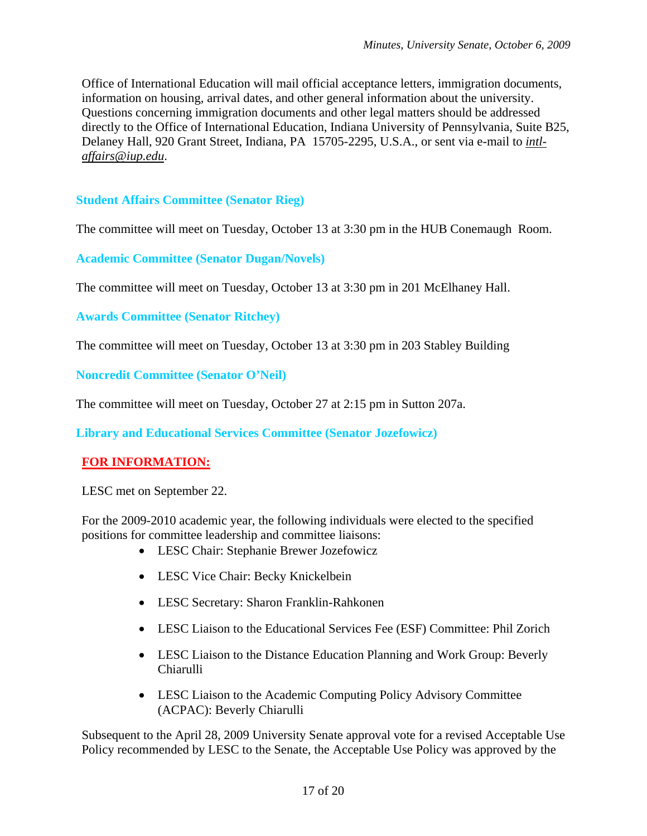Office of International Education will mail official acceptance letters, immigration documents, information on housing, arrival dates, and other general information about the university. Questions concerning immigration documents and other legal matters should be addressed directly to the Office of International Education, Indiana University of Pennsylvania, Suite B25, Delaney Hall, 920 Grant Street, Indiana, PA 15705-2295, U.S.A., or sent via e-mail to *[intl](mailto:intl-affairs@iup.edu)[affairs@iup.edu](mailto:intl-affairs@iup.edu)*.

# **Student Affairs Committee (Senator Rieg)**

The committee will meet on Tuesday, October 13 at 3:30 pm in the HUB Conemaugh Room.

**Academic Committee (Senator Dugan/Novels)**

The committee will meet on Tuesday, October 13 at 3:30 pm in 201 McElhaney Hall.

**Awards Committee (Senator Ritchey)**

The committee will meet on Tuesday, October 13 at 3:30 pm in 203 Stabley Building

**Noncredit Committee (Senator O'Neil)**

The committee will meet on Tuesday, October 27 at 2:15 pm in Sutton 207a.

**Library and Educational Services Committee (Senator Jozefowicz)**

## **FOR INFORMATION:**

LESC met on September 22.

For the 2009-2010 academic year, the following individuals were elected to the specified positions for committee leadership and committee liaisons:

- LESC Chair: Stephanie Brewer Jozefowicz
- LESC Vice Chair: Becky Knickelbein
- LESC Secretary: Sharon Franklin-Rahkonen
- LESC Liaison to the Educational Services Fee (ESF) Committee: Phil Zorich
- LESC Liaison to the Distance Education Planning and Work Group: Beverly Chiarulli
- LESC Liaison to the Academic Computing Policy Advisory Committee (ACPAC): Beverly Chiarulli

Subsequent to the April 28, 2009 University Senate approval vote for a revised Acceptable Use Policy recommended by LESC to the Senate, the Acceptable Use Policy was approved by the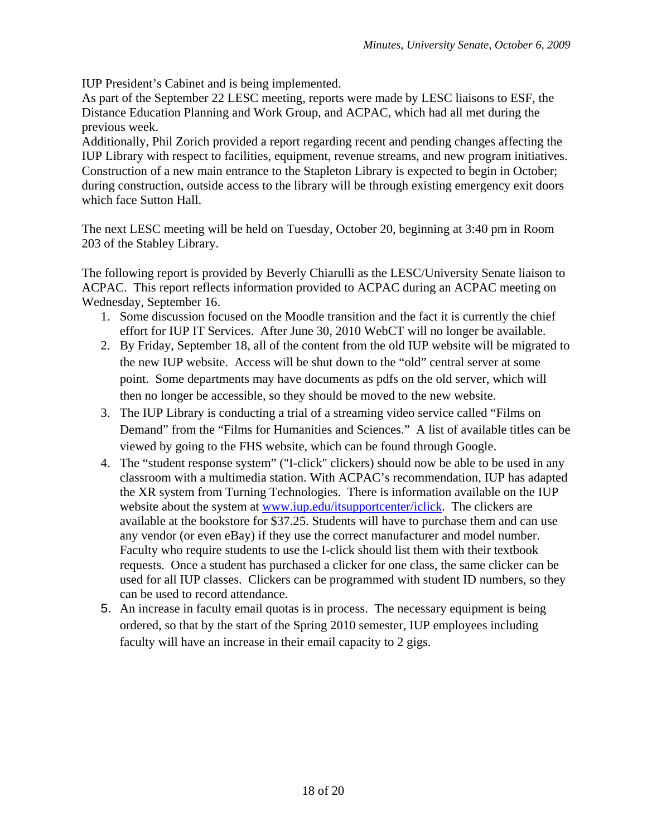IUP President's Cabinet and is being implemented.

As part of the September 22 LESC meeting, reports were made by LESC liaisons to ESF, the Distance Education Planning and Work Group, and ACPAC, which had all met during the previous week.

Additionally, Phil Zorich provided a report regarding recent and pending changes affecting the IUP Library with respect to facilities, equipment, revenue streams, and new program initiatives. Construction of a new main entrance to the Stapleton Library is expected to begin in October; during construction, outside access to the library will be through existing emergency exit doors which face Sutton Hall.

The next LESC meeting will be held on Tuesday, October 20, beginning at 3:40 pm in Room 203 of the Stabley Library.

The following report is provided by Beverly Chiarulli as the LESC/University Senate liaison to ACPAC. This report reflects information provided to ACPAC during an ACPAC meeting on Wednesday, September 16.

- 1. Some discussion focused on the Moodle transition and the fact it is currently the chief effort for IUP IT Services. After June 30, 2010 WebCT will no longer be available.
- 2. By Friday, September 18, all of the content from the old IUP website will be migrated to the new IUP website. Access will be shut down to the "old" central server at some point. Some departments may have documents as pdfs on the old server, which will then no longer be accessible, so they should be moved to the new website.
- 3. The IUP Library is conducting a trial of a streaming video service called "Films on Demand" from the "Films for Humanities and Sciences." A list of available titles can be viewed by going to the FHS website, which can be found through Google.
- 4. The "student response system" ("I-click" clickers) should now be able to be used in any classroom with a multimedia station. With ACPAC's recommendation, IUP has adapted the XR system from Turning Technologies. There is information available on the IUP website about the system at [www.iup.edu/itsupportcenter/iclick](http://www.iup.edu/itsupportcenter/iclick). The clickers are available at the bookstore for \$37.25. Students will have to purchase them and can use any vendor (or even eBay) if they use the correct manufacturer and model number. Faculty who require students to use the I-click should list them with their textbook requests. Once a student has purchased a clicker for one class, the same clicker can be used for all IUP classes. Clickers can be programmed with student ID numbers, so they can be used to record attendance.
- 5. An increase in faculty email quotas is in process. The necessary equipment is being ordered, so that by the start of the Spring 2010 semester, IUP employees including faculty will have an increase in their email capacity to 2 gigs.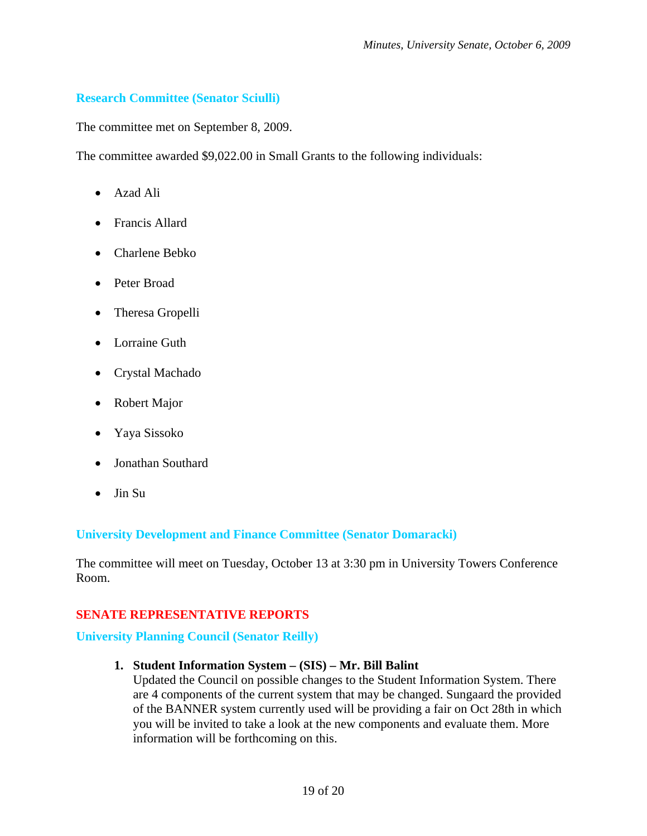# **Research Committee (Senator Sciulli)**

The committee met on September 8, 2009.

The committee awarded \$9,022.00 in Small Grants to the following individuals:

- Azad Ali
- Francis Allard
- Charlene Bebko
- Peter Broad
- Theresa Gropelli
- Lorraine Guth
- Crystal Machado
- Robert Major
- Yaya Sissoko
- Jonathan Southard
- Jin Su

## **University Development and Finance Committee (Senator Domaracki)**

The committee will meet on Tuesday, October 13 at 3:30 pm in University Towers Conference Room.

# **SENATE REPRESENTATIVE REPORTS**

# **University Planning Council (Senator Reilly)**

## **1. Student Information System – (SIS) – Mr. Bill Balint**

Updated the Council on possible changes to the Student Information System. There are 4 components of the current system that may be changed. Sungaard the provided of the BANNER system currently used will be providing a fair on Oct 28th in which you will be invited to take a look at the new components and evaluate them. More information will be forthcoming on this.